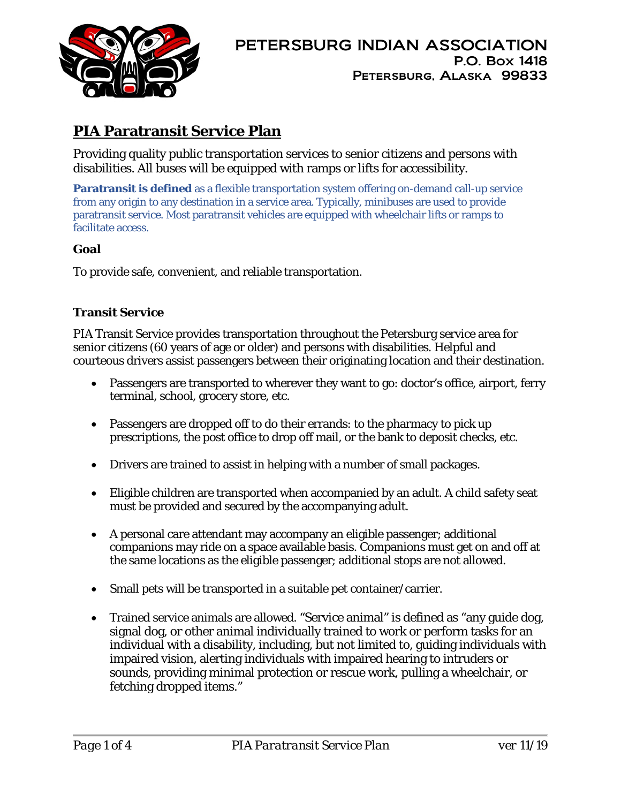

# **PIA Paratransit Service Plan**

Providing quality public transportation services to senior citizens and persons with disabilities. All buses will be equipped with ramps or lifts for accessibility.

**Paratransit is defined** as a flexible transportation system offering on-demand call-up service from any origin to any destination in a service area. Typically, [minibuses](https://en.wikipedia.org/wiki/Minibus) are used to provide paratransit service. Most paratransit vehicles are equipped with [wheelchair lifts](https://en.wikipedia.org/wiki/Wheelchair_lift) or ramps to facilitate access.

#### **Goal**

To provide safe, convenient, and reliable transportation.

#### **Transit Service**

PIA Transit Service provides transportation throughout the Petersburg service area for senior citizens (60 years of age or older) and persons with disabilities. Helpful and courteous drivers assist passengers between their originating location and their destination.

- Passengers are transported to wherever they want to go: doctor's office, airport, ferry terminal, school, grocery store, etc.
- Passengers are dropped off to do their errands: to the pharmacy to pick up prescriptions, the post office to drop off mail, or the bank to deposit checks, etc.
- Drivers are trained to assist in helping with a number of small packages.
- Eligible children are transported when accompanied by an adult. A child safety seat must be provided and secured by the accompanying adult.
- A personal care attendant may accompany an eligible passenger; additional companions may ride on a space available basis. Companions must get on and off at the same locations as the eligible passenger; additional stops are not allowed.
- Small pets will be transported in a suitable pet container/carrier.
- Trained service animals are allowed. "Service animal" is defined as "any guide dog, signal dog, or other animal individually trained to work or perform tasks for an individual with a disability, including, but not limited to, guiding individuals with impaired vision, alerting individuals with impaired hearing to intruders or sounds, providing minimal protection or rescue work, pulling a wheelchair, or fetching dropped items."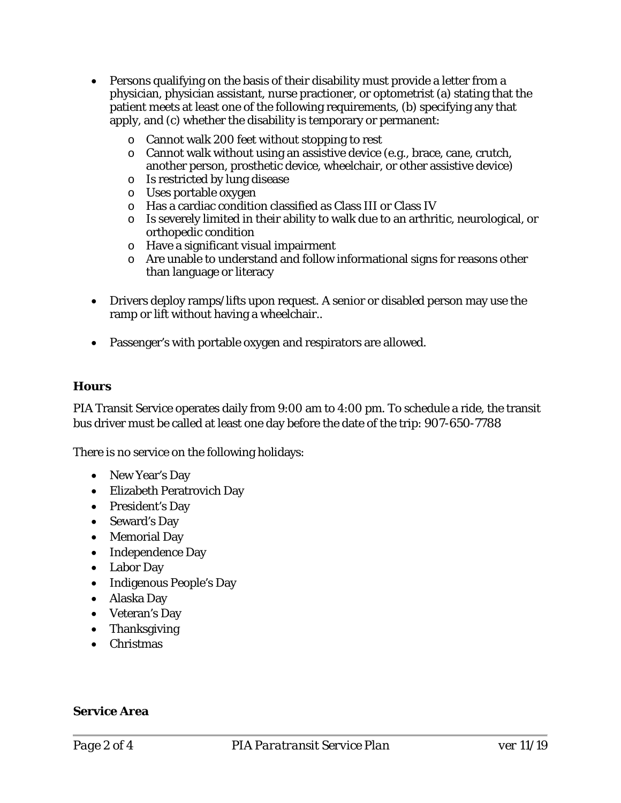- Persons qualifying on the basis of their disability must provide a letter from a physician, physician assistant, nurse practioner, or optometrist (a) stating that the patient meets at least one of the following requirements, (b) specifying any that apply, and (c) whether the disability is temporary or permanent:
	- o Cannot walk 200 feet without stopping to rest
	- $\circ$  Cannot walk without using an assistive device (e.g., brace, cane, crutch, another person, prosthetic device, wheelchair, or other assistive device)
	- o Is restricted by lung disease
	- o Uses portable oxygen
	- o Has a cardiac condition classified as Class III or Class IV
	- o Is severely limited in their ability to walk due to an arthritic, neurological, or orthopedic condition
	- o Have a significant visual impairment
	- o Are unable to understand and follow informational signs for reasons other than language or literacy
- Drivers deploy ramps/lifts upon request. A senior or disabled person may use the ramp or lift without having a wheelchair..
- Passenger's with portable oxygen and respirators are allowed.

#### **Hours**

PIA Transit Service operates daily from 9:00 am to 4:00 pm. To schedule a ride, the transit bus driver must be called at least one day before the date of the trip: 907-650-7788

There is no service on the following holidays:

- New Year's Day
- Elizabeth Peratrovich Day
- President's Day
- Seward's Day
- Memorial Day
- Independence Day
- Labor Day
- Indigenous People's Day
- Alaska Day
- Veteran's Day
- Thanksgiving
- Christmas

#### **Service Area**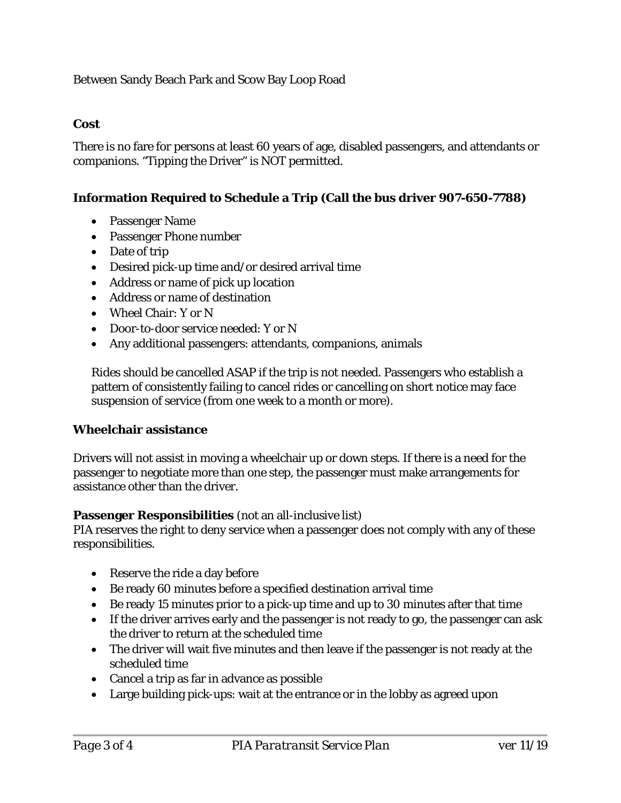Between Sandy Beach Park and Scow Bay Loop Road

# **Cost**

There is no fare for persons at least 60 years of age, disabled passengers, and attendants or companions. "Tipping the Driver" is NOT permitted.

# **Information Required to Schedule a Trip (Call the bus driver 907-650-7788)**

- Passenger Name
- Passenger Phone number
- Date of trip
- Desired pick-up time and/or desired arrival time
- Address or name of pick up location
- Address or name of destination
- Wheel Chair: Y or N
- Door-to-door service needed: Y or N
- Any additional passengers: attendants, companions, animals

Rides should be cancelled ASAP if the trip is not needed. Passengers who establish a pattern of consistently failing to cancel rides or cancelling on short notice may face suspension of service (from one week to a month or more).

#### **Wheelchair assistance**

Drivers will not assist in moving a wheelchair up or down steps. If there is a need for the passenger to negotiate more than one step, the passenger must make arrangements for assistance other than the driver.

#### **Passenger Responsibilities** (not an all-inclusive list)

PIA reserves the right to deny service when a passenger does not comply with any of these responsibilities.

- Reserve the ride a day before
- Be ready 60 minutes before a specified destination arrival time
- Be ready 15 minutes prior to a pick-up time and up to 30 minutes after that time
- If the driver arrives early and the passenger is not ready to go, the passenger can ask the driver to return at the scheduled time
- The driver will wait five minutes and then leave if the passenger is not ready at the scheduled time
- Cancel a trip as far in advance as possible
- Large building pick-ups: wait at the entrance or in the lobby as agreed upon